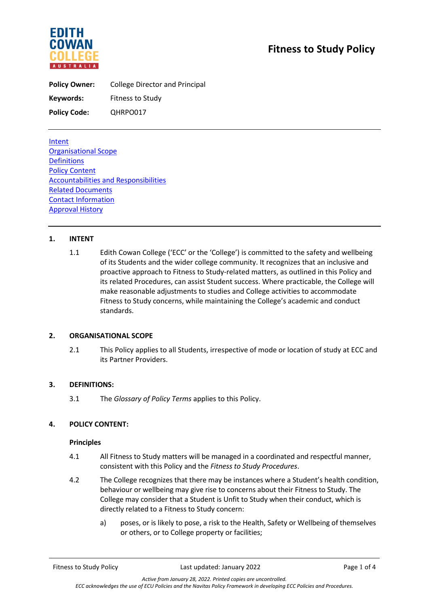

**Policy Owner:** College Director and Principal Keywords: Fitness to Study **Policy Code:** QHRPO017

Intent Organisational Scope **Definitions** Policy Content Accountabilities and Responsibilities Related Documents Contact Information Approval History

# **1. INTENT**

1.1 Edith Cowan College ('ECC' or the 'College') is committed to the safety and wellbeing of its Students and the wider college community. It recognizes that an inclusive and proactive approach to Fitness to Study-related matters, as outlined in this Policy and its related Procedures, can assist Student success. Where practicable, the College will make reasonable adjustments to studies and College activities to accommodate Fitness to Study concerns, while maintaining the College's academic and conduct standards.

### **2. ORGANISATIONAL SCOPE**

2.1 This Policy applies to all Students, irrespective of mode or location of study at ECC and its Partner Providers.

### **3. DEFINITIONS:**

3.1 The *Glossary of Policy Terms* applies to this Policy.

### **4. POLICY CONTENT:**

#### **Principles**

- 4.1 All Fitness to Study matters will be managed in a coordinated and respectful manner, consistent with this Policy and the *Fitness to Study Procedures*.
- 4.2 The College recognizes that there may be instances where a Student's health condition, behaviour or wellbeing may give rise to concerns about their Fitness to Study. The College may consider that a Student is Unfit to Study when their conduct, which is directly related to a Fitness to Study concern:
	- a) poses, or is likely to pose, a risk to the Health, Safety or Wellbeing of themselves or others, or to College property or facilities;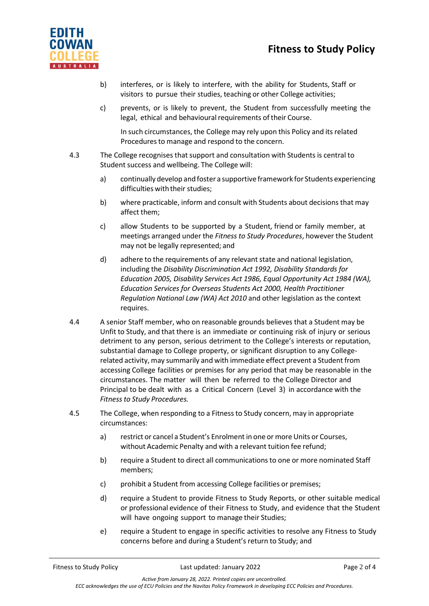# **Fitness to Study Policy**



- b) interferes, or is likely to interfere, with the ability for Students, Staff or visitors to pursue their studies, teaching or other College activities;
- c) prevents, or is likely to prevent, the Student from successfully meeting the legal, ethical and behavioural requirements of their Course.

In such circumstances, the College may rely upon this Policy and its related Procedures to manage and respond to the concern.

- 4.3 The College recognises thatsupport and consultation with Students is central to Student success and wellbeing. The College will:
	- a) continually develop and foster a supportive framework for Students experiencing difficulties with their studies;
	- b) where practicable, inform and consult with Students about decisions that may affect them;
	- c) allow Students to be supported by a Student, friend or family member, at meetings arranged under the *Fitness to Study Procedures*, however the Student may not be legally represented; and
	- d) adhere to the requirements of any relevant state and national legislation, including the *Disability Discrimination Act 1992, Disability Standards for Education 2005, Disability Services Act 1986, Equal Opportunity Act 1984 (WA), Education Services for Overseas Students Act 2000, Health Practitioner Regulation National Law (WA) Act 2010* and other legislation as the context requires.
- 4.4 A senior Staff member, who on reasonable grounds believes that a Student may be Unfit to Study, and that there is an immediate or continuing risk of injury or serious detriment to any person, serious detriment to the College's interests or reputation, substantial damage to College property, or significant disruption to any Collegerelated activity, may summarily and with immediate effect prevent a Student from accessing College facilities or premises for any period that may be reasonable in the circumstances. The matter will then be referred to the College Director and Principal to be dealt with as a Critical Concern (Level 3) in accordance with the *Fitnessto Study Procedures.*
- 4.5 The College, when responding to a Fitnessto Study concern, may in appropriate circumstances:
	- a) restrict or cancel a Student's Enrolment in one or more Units or Courses, without Academic Penalty and with a relevant tuition fee refund;
	- b) require a Student to direct all communications to one or more nominated Staff members;
	- c) prohibit a Student from accessing College facilities or premises;
	- d) require a Student to provide Fitness to Study Reports, or other suitable medical or professional evidence of their Fitness to Study, and evidence that the Student will have ongoing support to manage their Studies;
	- e) require a Student to engage in specific activities to resolve any Fitness to Study concerns before and during a Student's return to Study; and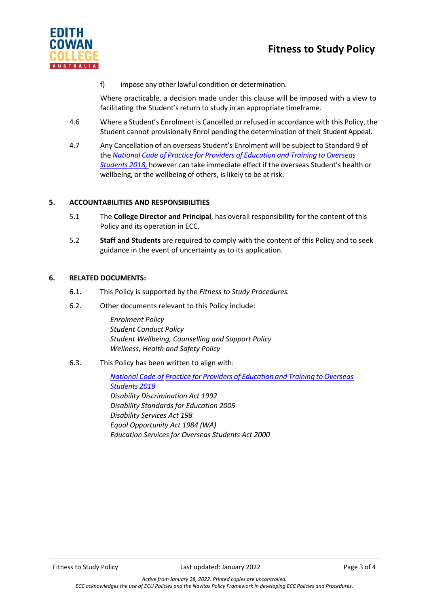

f) impose any other lawful condition or determination.

Where practicable, a decision made under this clause will be imposed with a view to facilitating the Student's return to study in an appropriate timeframe.

- 4.6 Where a Student's Enrolment is Cancelled or refused in accordance with this Policy, the Student cannot provisionally Enrol pending the determination of their Student Appeal.
- 4.7 Any Cancellation of an overseas Student's Enrolment will be subject to Standard 9 of the *[National](https://www.legislation.gov.au/Details/F2017L01182) Code of Practice for Providers of [Education](https://www.legislation.gov.au/Details/F2017L01182) and Training to Overseas [Students](https://www.legislation.gov.au/Details/F2017L01182) 2018,* however can take immediate effect if the overseas Student's health or wellbeing, or the wellbeing of others, is likely to be at risk.

# **5. ACCOUNTABILITIES AND RESPONSIBILITIES**

- 5.1 The **College Director and Principal**, has overall responsibility for the content of this Policy and its operation in ECC.
- 5.2 **Staff and Students** are required to comply with the content of this Policy and to seek guidance in the event of uncertainty as to its application.

### **6. RELATED DOCUMENTS:**

- 6.1. This Policy is supported by the *Fitness to Study Procedures.*
- 6.2. Other documents relevant to this Policy include:

*Enrolment Policy Student Conduct Policy Student Wellbeing, Counselling and Support Policy Wellness, Health and Safety Policy*

6.3. This Policy has been written to align with:

*[National](https://www.legislation.gov.au/Details/F2017L01182) Code of Practice for Providers of Education and Training to Overseas Students 2018 Disability Discrimination Act 1992 Disability Standards for Education 2005 Disability Services Act 198 Equal Opportunity Act 1984 (WA) Education Services for Overseas Students Act 2000*